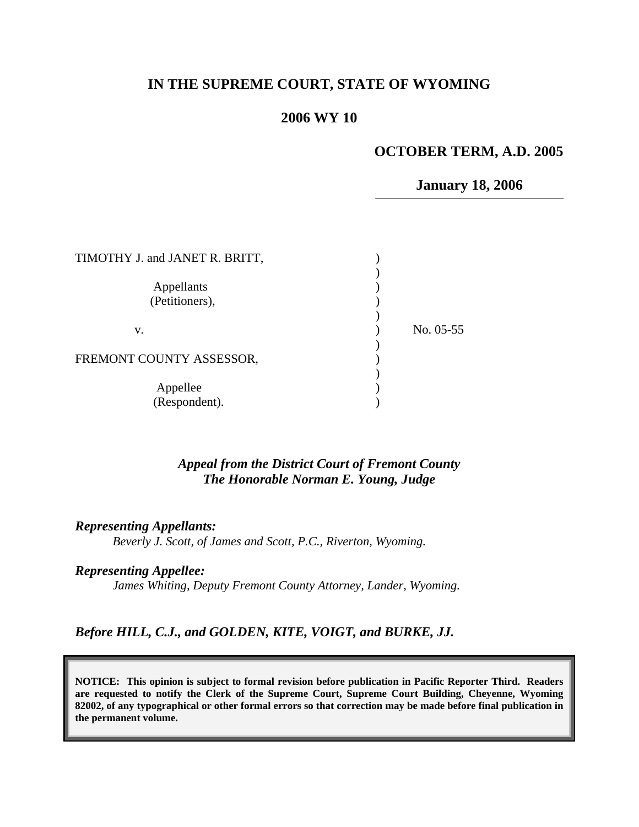# **IN THE SUPREME COURT, STATE OF WYOMING**

### **2006 WY 10**

# **OCTOBER TERM, A.D. 2005**

**January 18, 2006**

| TIMOTHY J. and JANET R. BRITT, |             |
|--------------------------------|-------------|
| Appellants<br>(Petitioners),   |             |
| v.                             | No. $05-55$ |
| FREMONT COUNTY ASSESSOR,       |             |
| Appellee<br>(Respondent).      |             |

*Appeal from the District Court of Fremont County The Honorable Norman E. Young, Judge* 

*Representing Appellants:* 

*Beverly J. Scott, of James and Scott, P.C., Riverton, Wyoming.* 

*Representing Appellee:* 

*James Whiting, Deputy Fremont County Attorney, Lander, Wyoming.* 

*Before HILL, C.J., and GOLDEN, KITE, VOIGT, and BURKE, JJ.* 

**NOTICE: This opinion is subject to formal revision before publication in Pacific Reporter Third. Readers are requested to notify the Clerk of the Supreme Court, Supreme Court Building, Cheyenne, Wyoming 82002, of any typographical or other formal errors so that correction may be made before final publication in the permanent volume.**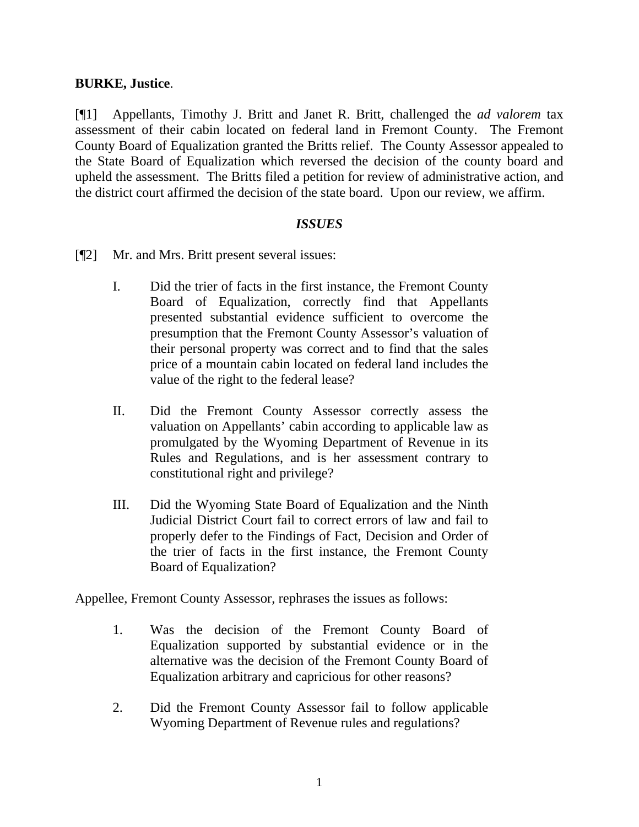#### **BURKE, Justice**.

[¶1] Appellants, Timothy J. Britt and Janet R. Britt, challenged the *ad valorem* tax assessment of their cabin located on federal land in Fremont County. The Fremont County Board of Equalization granted the Britts relief. The County Assessor appealed to the State Board of Equalization which reversed the decision of the county board and upheld the assessment. The Britts filed a petition for review of administrative action, and the district court affirmed the decision of the state board. Upon our review, we affirm.

#### *ISSUES*

- [¶2] Mr. and Mrs. Britt present several issues:
	- I. Did the trier of facts in the first instance, the Fremont County Board of Equalization, correctly find that Appellants presented substantial evidence sufficient to overcome the presumption that the Fremont County Assessor's valuation of their personal property was correct and to find that the sales price of a mountain cabin located on federal land includes the value of the right to the federal lease?
	- II. Did the Fremont County Assessor correctly assess the valuation on Appellants' cabin according to applicable law as promulgated by the Wyoming Department of Revenue in its Rules and Regulations, and is her assessment contrary to constitutional right and privilege?
	- III. Did the Wyoming State Board of Equalization and the Ninth Judicial District Court fail to correct errors of law and fail to properly defer to the Findings of Fact, Decision and Order of the trier of facts in the first instance, the Fremont County Board of Equalization?

Appellee, Fremont County Assessor, rephrases the issues as follows:

- 1. Was the decision of the Fremont County Board of Equalization supported by substantial evidence or in the alternative was the decision of the Fremont County Board of Equalization arbitrary and capricious for other reasons?
- 2. Did the Fremont County Assessor fail to follow applicable Wyoming Department of Revenue rules and regulations?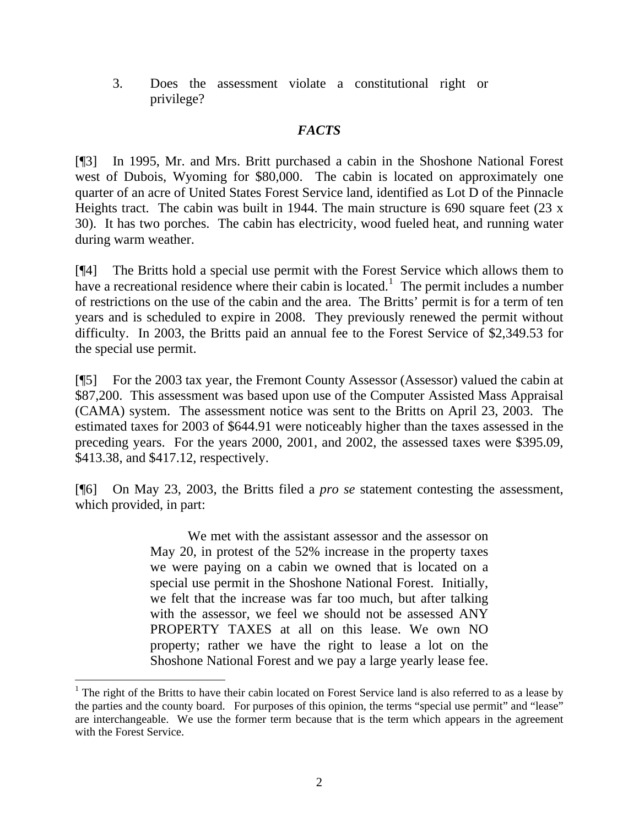3. Does the assessment violate a constitutional right or privilege?

# *FACTS*

[¶3] In 1995, Mr. and Mrs. Britt purchased a cabin in the Shoshone National Forest west of Dubois, Wyoming for \$80,000. The cabin is located on approximately one quarter of an acre of United States Forest Service land, identified as Lot D of the Pinnacle Heights tract. The cabin was built in 1944. The main structure is 690 square feet (23 x 30). It has two porches. The cabin has electricity, wood fueled heat, and running water during warm weather.

[¶4] The Britts hold a special use permit with the Forest Service which allows them to have a recreational residence where their cabin is located.<sup>[1](#page-2-0)</sup> The permit includes a number of restrictions on the use of the cabin and the area. The Britts' permit is for a term of ten years and is scheduled to expire in 2008. They previously renewed the permit without difficulty. In 2003, the Britts paid an annual fee to the Forest Service of \$2,349.53 for the special use permit.

[¶5] For the 2003 tax year, the Fremont County Assessor (Assessor) valued the cabin at \$87,200. This assessment was based upon use of the Computer Assisted Mass Appraisal (CAMA) system. The assessment notice was sent to the Britts on April 23, 2003. The estimated taxes for 2003 of \$644.91 were noticeably higher than the taxes assessed in the preceding years. For the years 2000, 2001, and 2002, the assessed taxes were \$395.09, \$413.38, and \$417.12, respectively.

[¶6] On May 23, 2003, the Britts filed a *pro se* statement contesting the assessment, which provided, in part:

> We met with the assistant assessor and the assessor on May 20, in protest of the 52% increase in the property taxes we were paying on a cabin we owned that is located on a special use permit in the Shoshone National Forest. Initially, we felt that the increase was far too much, but after talking with the assessor, we feel we should not be assessed ANY PROPERTY TAXES at all on this lease. We own NO property; rather we have the right to lease a lot on the Shoshone National Forest and we pay a large yearly lease fee.

 $\overline{a}$ 

<span id="page-2-0"></span> $1$  The right of the Britts to have their cabin located on Forest Service land is also referred to as a lease by the parties and the county board. For purposes of this opinion, the terms "special use permit" and "lease" are interchangeable. We use the former term because that is the term which appears in the agreement with the Forest Service.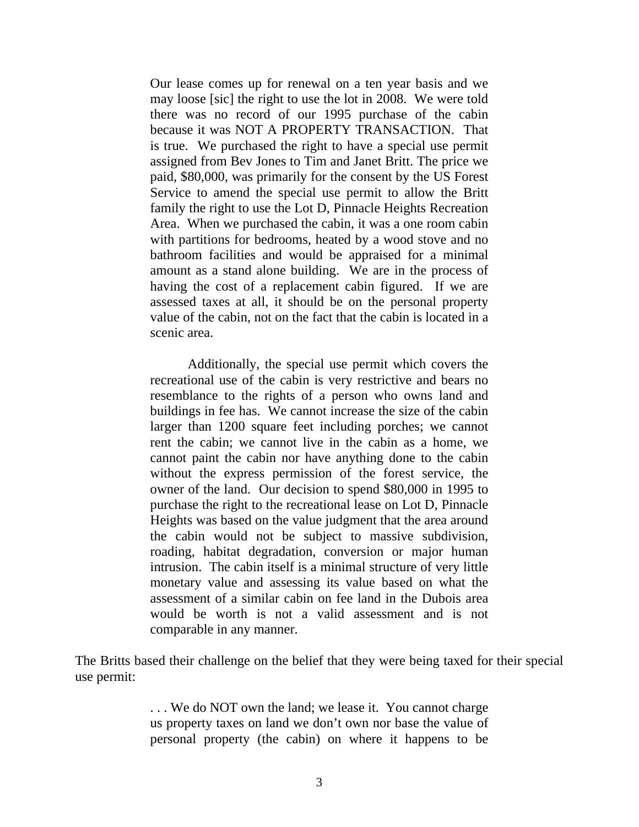Our lease comes up for renewal on a ten year basis and we may loose [sic] the right to use the lot in 2008. We were told there was no record of our 1995 purchase of the cabin because it was NOT A PROPERTY TRANSACTION. That is true. We purchased the right to have a special use permit assigned from Bev Jones to Tim and Janet Britt. The price we paid, \$80,000, was primarily for the consent by the US Forest Service to amend the special use permit to allow the Britt family the right to use the Lot D, Pinnacle Heights Recreation Area. When we purchased the cabin, it was a one room cabin with partitions for bedrooms, heated by a wood stove and no bathroom facilities and would be appraised for a minimal amount as a stand alone building. We are in the process of having the cost of a replacement cabin figured. If we are assessed taxes at all, it should be on the personal property value of the cabin, not on the fact that the cabin is located in a scenic area.

Additionally, the special use permit which covers the recreational use of the cabin is very restrictive and bears no resemblance to the rights of a person who owns land and buildings in fee has. We cannot increase the size of the cabin larger than 1200 square feet including porches; we cannot rent the cabin; we cannot live in the cabin as a home, we cannot paint the cabin nor have anything done to the cabin without the express permission of the forest service, the owner of the land. Our decision to spend \$80,000 in 1995 to purchase the right to the recreational lease on Lot D, Pinnacle Heights was based on the value judgment that the area around the cabin would not be subject to massive subdivision, roading, habitat degradation, conversion or major human intrusion. The cabin itself is a minimal structure of very little monetary value and assessing its value based on what the assessment of a similar cabin on fee land in the Dubois area would be worth is not a valid assessment and is not comparable in any manner.

The Britts based their challenge on the belief that they were being taxed for their special use permit:

> . . . We do NOT own the land; we lease it. You cannot charge us property taxes on land we don't own nor base the value of personal property (the cabin) on where it happens to be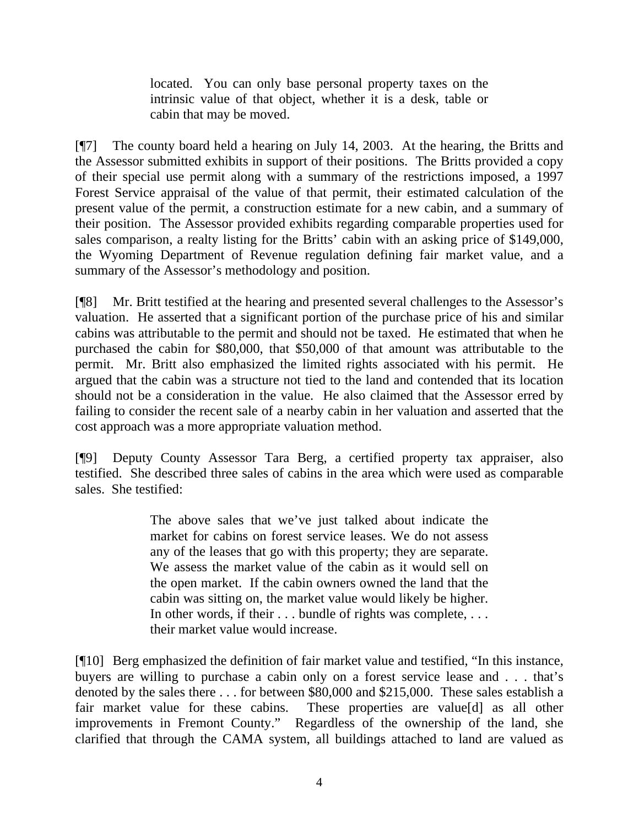located. You can only base personal property taxes on the intrinsic value of that object, whether it is a desk, table or cabin that may be moved.

[¶7] The county board held a hearing on July 14, 2003. At the hearing, the Britts and the Assessor submitted exhibits in support of their positions. The Britts provided a copy of their special use permit along with a summary of the restrictions imposed, a 1997 Forest Service appraisal of the value of that permit, their estimated calculation of the present value of the permit, a construction estimate for a new cabin, and a summary of their position. The Assessor provided exhibits regarding comparable properties used for sales comparison, a realty listing for the Britts' cabin with an asking price of \$149,000, the Wyoming Department of Revenue regulation defining fair market value, and a summary of the Assessor's methodology and position.

[¶8] Mr. Britt testified at the hearing and presented several challenges to the Assessor's valuation. He asserted that a significant portion of the purchase price of his and similar cabins was attributable to the permit and should not be taxed. He estimated that when he purchased the cabin for \$80,000, that \$50,000 of that amount was attributable to the permit. Mr. Britt also emphasized the limited rights associated with his permit. He argued that the cabin was a structure not tied to the land and contended that its location should not be a consideration in the value. He also claimed that the Assessor erred by failing to consider the recent sale of a nearby cabin in her valuation and asserted that the cost approach was a more appropriate valuation method.

[¶9] Deputy County Assessor Tara Berg, a certified property tax appraiser, also testified. She described three sales of cabins in the area which were used as comparable sales. She testified:

> The above sales that we've just talked about indicate the market for cabins on forest service leases. We do not assess any of the leases that go with this property; they are separate. We assess the market value of the cabin as it would sell on the open market. If the cabin owners owned the land that the cabin was sitting on, the market value would likely be higher. In other words, if their . . . bundle of rights was complete, . . . their market value would increase.

[¶10] Berg emphasized the definition of fair market value and testified, "In this instance, buyers are willing to purchase a cabin only on a forest service lease and . . . that's denoted by the sales there . . . for between \$80,000 and \$215,000. These sales establish a fair market value for these cabins. These properties are value[d] as all other improvements in Fremont County." Regardless of the ownership of the land, she clarified that through the CAMA system, all buildings attached to land are valued as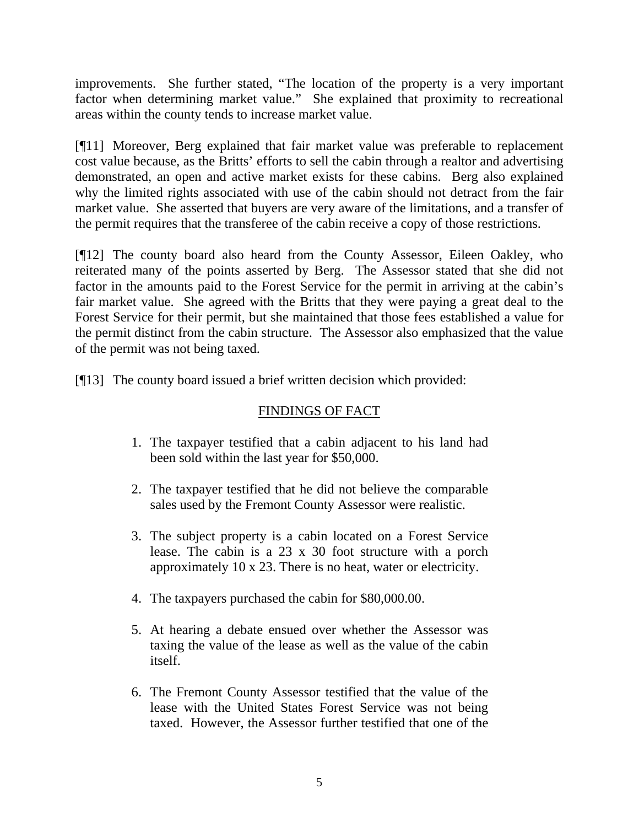improvements. She further stated, "The location of the property is a very important factor when determining market value." She explained that proximity to recreational areas within the county tends to increase market value.

[¶11] Moreover, Berg explained that fair market value was preferable to replacement cost value because, as the Britts' efforts to sell the cabin through a realtor and advertising demonstrated, an open and active market exists for these cabins. Berg also explained why the limited rights associated with use of the cabin should not detract from the fair market value. She asserted that buyers are very aware of the limitations, and a transfer of the permit requires that the transferee of the cabin receive a copy of those restrictions.

[¶12] The county board also heard from the County Assessor, Eileen Oakley, who reiterated many of the points asserted by Berg. The Assessor stated that she did not factor in the amounts paid to the Forest Service for the permit in arriving at the cabin's fair market value. She agreed with the Britts that they were paying a great deal to the Forest Service for their permit, but she maintained that those fees established a value for the permit distinct from the cabin structure. The Assessor also emphasized that the value of the permit was not being taxed.

[¶13] The county board issued a brief written decision which provided:

# FINDINGS OF FACT

- 1. The taxpayer testified that a cabin adjacent to his land had been sold within the last year for \$50,000.
- 2. The taxpayer testified that he did not believe the comparable sales used by the Fremont County Assessor were realistic.
- 3. The subject property is a cabin located on a Forest Service lease. The cabin is a 23 x 30 foot structure with a porch approximately 10 x 23. There is no heat, water or electricity.
- 4. The taxpayers purchased the cabin for \$80,000.00.
- 5. At hearing a debate ensued over whether the Assessor was taxing the value of the lease as well as the value of the cabin itself.
- 6. The Fremont County Assessor testified that the value of the lease with the United States Forest Service was not being taxed. However, the Assessor further testified that one of the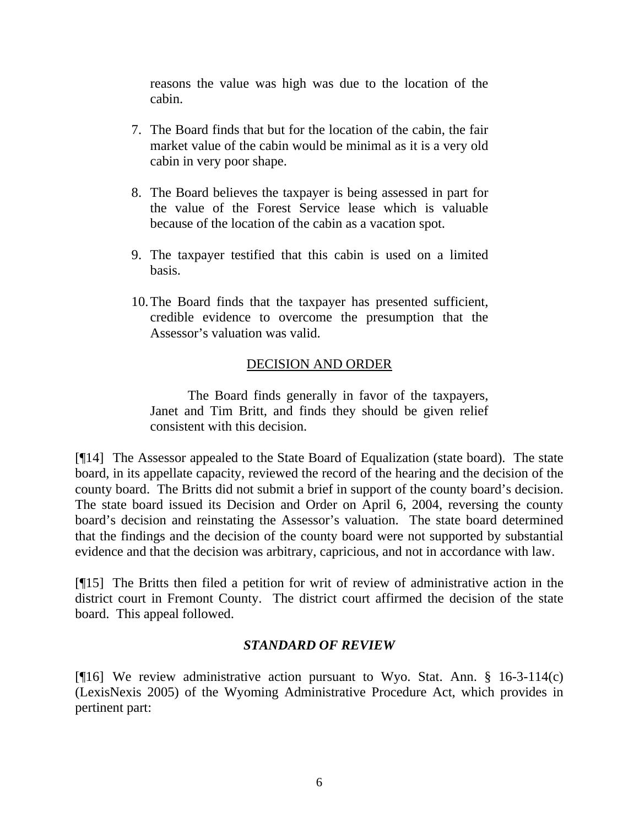reasons the value was high was due to the location of the cabin.

- 7. The Board finds that but for the location of the cabin, the fair market value of the cabin would be minimal as it is a very old cabin in very poor shape.
- 8. The Board believes the taxpayer is being assessed in part for the value of the Forest Service lease which is valuable because of the location of the cabin as a vacation spot.
- 9. The taxpayer testified that this cabin is used on a limited basis.
- 10.The Board finds that the taxpayer has presented sufficient, credible evidence to overcome the presumption that the Assessor's valuation was valid.

# DECISION AND ORDER

The Board finds generally in favor of the taxpayers, Janet and Tim Britt, and finds they should be given relief consistent with this decision.

[¶14] The Assessor appealed to the State Board of Equalization (state board). The state board, in its appellate capacity, reviewed the record of the hearing and the decision of the county board. The Britts did not submit a brief in support of the county board's decision. The state board issued its Decision and Order on April 6, 2004, reversing the county board's decision and reinstating the Assessor's valuation. The state board determined that the findings and the decision of the county board were not supported by substantial evidence and that the decision was arbitrary, capricious, and not in accordance with law.

[¶15] The Britts then filed a petition for writ of review of administrative action in the district court in Fremont County. The district court affirmed the decision of the state board. This appeal followed.

# *STANDARD OF REVIEW*

[ $[16]$  We review administrative action pursuant to Wyo. Stat. Ann. § 16-3-114(c) (LexisNexis 2005) of the Wyoming Administrative Procedure Act, which provides in pertinent part: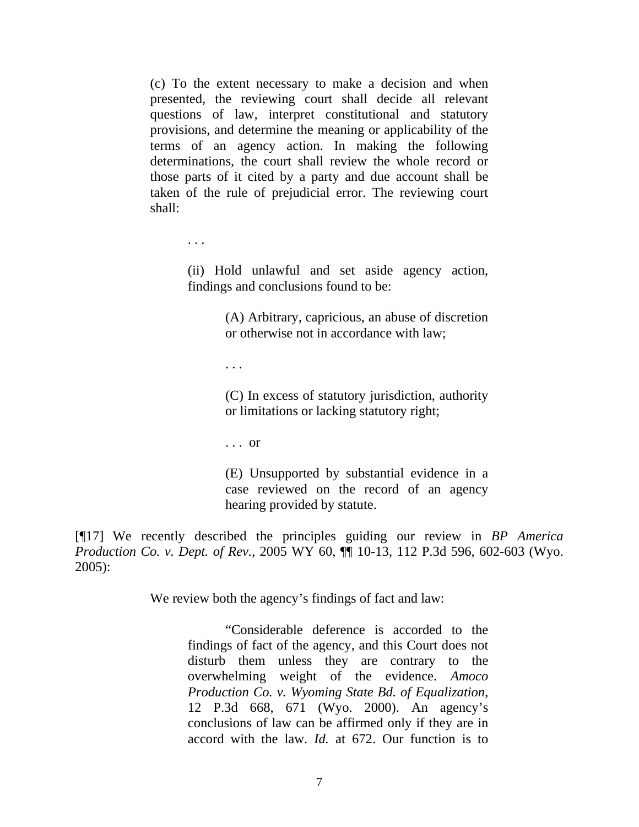(c) To the extent necessary to make a decision and when presented, the reviewing court shall decide all relevant questions of law, interpret constitutional and statutory provisions, and determine the meaning or applicability of the terms of an agency action. In making the following determinations, the court shall review the whole record or those parts of it cited by a party and due account shall be taken of the rule of prejudicial error. The reviewing court shall:

. . .

(ii) Hold unlawful and set aside agency action, findings and conclusions found to be:

> (A) Arbitrary, capricious, an abuse of discretion or otherwise not in accordance with law;

. . .

(C) In excess of statutory jurisdiction, authority or limitations or lacking statutory right;

. . . or

(E) Unsupported by substantial evidence in a case reviewed on the record of an agency hearing provided by statute.

[¶17] We recently described the principles guiding our review in *BP America Production Co. v. Dept. of Rev.*, 2005 WY 60, ¶¶ 10-13, 112 P.3d 596, 602-603 (Wyo. 2005):

We review both the agency's findings of fact and law:

"Considerable deference is accorded to the findings of fact of the agency, and this Court does not disturb them unless they are contrary to the overwhelming weight of the evidence. *Amoco Production Co. v. Wyoming State Bd. of Equalization*, 12 P.3d 668, 671 (Wyo. 2000). An agency's conclusions of law can be affirmed only if they are in accord with the law. *Id.* at 672. Our function is to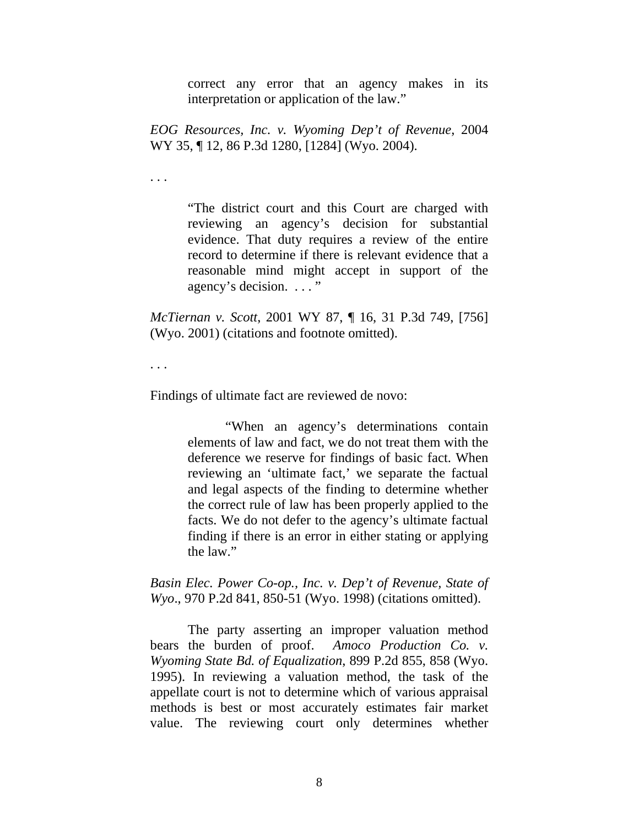correct any error that an agency makes in its interpretation or application of the law."

*EOG Resources, Inc. v. Wyoming Dep't of Revenue*, 2004 WY 35, ¶ 12, 86 P.3d 1280, [1284] (Wyo. 2004).

. . .

"The district court and this Court are charged with reviewing an agency's decision for substantial evidence. That duty requires a review of the entire record to determine if there is relevant evidence that a reasonable mind might accept in support of the agency's decision. . . . "

*McTiernan v. Scott*, 2001 WY 87, ¶ 16, 31 P.3d 749, [756] (Wyo. 2001) (citations and footnote omitted).

. . .

Findings of ultimate fact are reviewed de novo:

"When an agency's determinations contain elements of law and fact, we do not treat them with the deference we reserve for findings of basic fact. When reviewing an 'ultimate fact,' we separate the factual and legal aspects of the finding to determine whether the correct rule of law has been properly applied to the facts. We do not defer to the agency's ultimate factual finding if there is an error in either stating or applying the law."

*Basin Elec. Power Co-op., Inc. v. Dep't of Revenue, State of Wyo*., 970 P.2d 841, 850-51 (Wyo. 1998) (citations omitted).

The party asserting an improper valuation method bears the burden of proof. *Amoco Production Co. v. Wyoming State Bd. of Equalization*, 899 P.2d 855, 858 (Wyo. 1995). In reviewing a valuation method, the task of the appellate court is not to determine which of various appraisal methods is best or most accurately estimates fair market value. The reviewing court only determines whether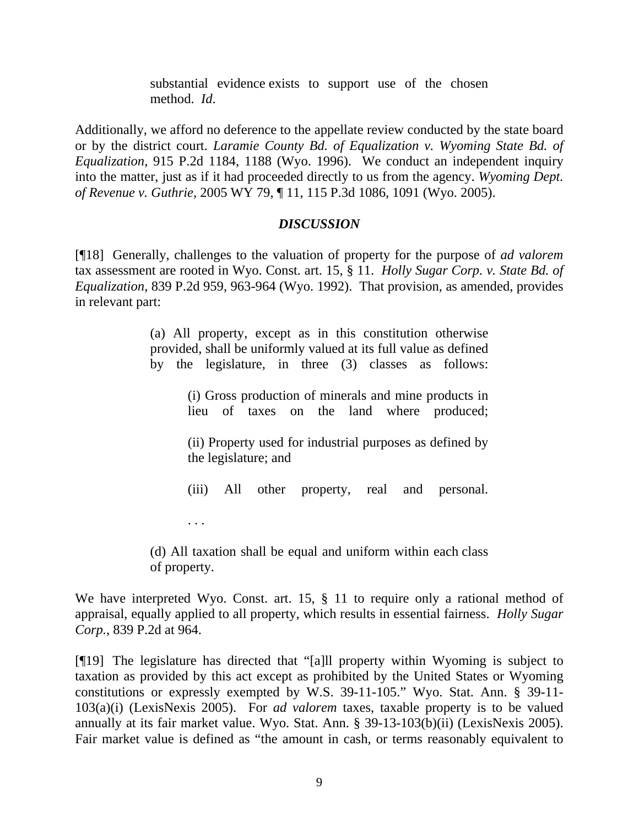substantial evidence exists to support use of the chosen method. *Id*.

Additionally, we afford no deference to the appellate review conducted by the state board or by the district court. *Laramie County Bd. of Equalization v. Wyoming State Bd. of Equalization*, 915 P.2d 1184, 1188 (Wyo. 1996). We conduct an independent inquiry into the matter, just as if it had proceeded directly to us from the agency. *Wyoming Dept. of Revenue v. Guthrie*, 2005 WY 79, ¶ 11, 115 P.3d 1086, 1091 (Wyo. 2005).

#### *DISCUSSION*

[¶18] Generally, challenges to the valuation of property for the purpose of *ad valorem* tax assessment are rooted in Wyo. Const. art. 15, § 11. *Holly Sugar Corp. v. State Bd. of Equalization*, 839 P.2d 959, 963-964 (Wyo. 1992). That provision, as amended, provides in relevant part:

> (a) All property, except as in this constitution otherwise provided, shall be uniformly valued at its full value as defined by the legislature, in three (3) classes as follows:

> > (i) Gross production of minerals and mine products in lieu of taxes on the land where produced;

> > (ii) Property used for industrial purposes as defined by the legislature; and

(iii) All other property, real and personal.

. . .

(d) All taxation shall be equal and uniform within each class of property.

We have interpreted Wyo. Const. art. 15, § 11 to require only a rational method of appraisal, equally applied to all property, which results in essential fairness. *Holly Sugar Corp.*, 839 P.2d at 964.

[¶19] The legislature has directed that "[a]ll property within Wyoming is subject to taxation as provided by this act except as prohibited by the United States or Wyoming constitutions or expressly exempted by W.S. 39-11-105." Wyo. Stat. Ann. § 39-11- 103(a)(i) (LexisNexis 2005). For *ad valorem* taxes, taxable property is to be valued annually at its fair market value. Wyo. Stat. Ann. § 39-13-103(b)(ii) (LexisNexis 2005). Fair market value is defined as "the amount in cash, or terms reasonably equivalent to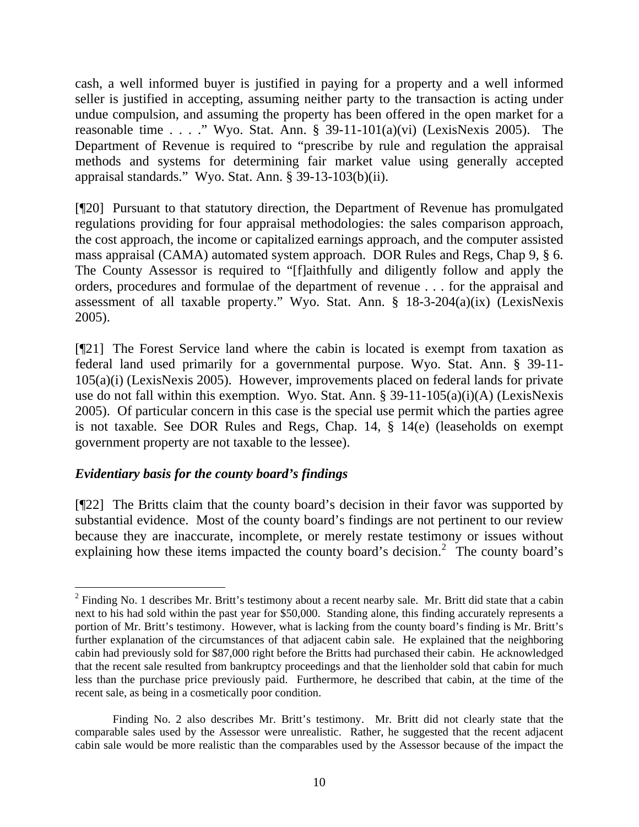cash, a well informed buyer is justified in paying for a property and a well informed seller is justified in accepting, assuming neither party to the transaction is acting under undue compulsion, and assuming the property has been offered in the open market for a reasonable time . . . ." Wyo. Stat. Ann.  $\S$  39-11-101(a)(vi) (LexisNexis 2005). The Department of Revenue is required to "prescribe by rule and regulation the appraisal methods and systems for determining fair market value using generally accepted appraisal standards." Wyo. Stat. Ann. § 39-13-103(b)(ii).

[¶20] Pursuant to that statutory direction, the Department of Revenue has promulgated regulations providing for four appraisal methodologies: the sales comparison approach, the cost approach, the income or capitalized earnings approach, and the computer assisted mass appraisal (CAMA) automated system approach. DOR Rules and Regs, Chap 9, § 6. The County Assessor is required to "[f]aithfully and diligently follow and apply the orders, procedures and formulae of the department of revenue . . . for the appraisal and assessment of all taxable property." Wyo. Stat. Ann. § 18-3-204(a)(ix) (LexisNexis 2005).

[¶21] The Forest Service land where the cabin is located is exempt from taxation as federal land used primarily for a governmental purpose. Wyo. Stat. Ann. § 39-11- 105(a)(i) (LexisNexis 2005). However, improvements placed on federal lands for private use do not fall within this exemption. Wyo. Stat. Ann. § 39-11-105(a)(i)(A) (LexisNexis 2005). Of particular concern in this case is the special use permit which the parties agree is not taxable. See DOR Rules and Regs, Chap. 14, § 14(e) (leaseholds on exempt government property are not taxable to the lessee).

# *Evidentiary basis for the county board's findings*

 $\overline{a}$ 

[¶22] The Britts claim that the county board's decision in their favor was supported by substantial evidence. Most of the county board's findings are not pertinent to our review because they are inaccurate, incomplete, or merely restate testimony or issues without explaining how these items impacted the county board's decision.<sup>[2](#page-10-0)</sup> The county board's

<span id="page-10-0"></span> $2^2$  Finding No. 1 describes Mr. Britt's testimony about a recent nearby sale. Mr. Britt did state that a cabin next to his had sold within the past year for \$50,000. Standing alone, this finding accurately represents a portion of Mr. Britt's testimony. However, what is lacking from the county board's finding is Mr. Britt's further explanation of the circumstances of that adjacent cabin sale. He explained that the neighboring cabin had previously sold for \$87,000 right before the Britts had purchased their cabin. He acknowledged that the recent sale resulted from bankruptcy proceedings and that the lienholder sold that cabin for much less than the purchase price previously paid. Furthermore, he described that cabin, at the time of the recent sale, as being in a cosmetically poor condition.

Finding No. 2 also describes Mr. Britt's testimony. Mr. Britt did not clearly state that the comparable sales used by the Assessor were unrealistic. Rather, he suggested that the recent adjacent cabin sale would be more realistic than the comparables used by the Assessor because of the impact the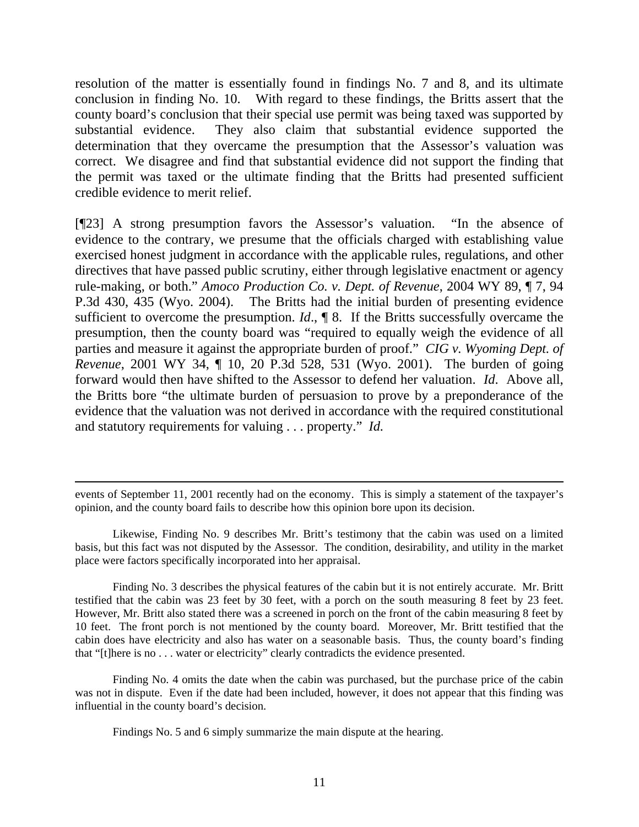resolution of the matter is essentially found in findings No. 7 and 8, and its ultimate conclusion in finding No. 10. With regard to these findings, the Britts assert that the county board's conclusion that their special use permit was being taxed was supported by substantial evidence. They also claim that substantial evidence supported the determination that they overcame the presumption that the Assessor's valuation was correct. We disagree and find that substantial evidence did not support the finding that the permit was taxed or the ultimate finding that the Britts had presented sufficient credible evidence to merit relief.

[¶23] A strong presumption favors the Assessor's valuation. "In the absence of evidence to the contrary, we presume that the officials charged with establishing value exercised honest judgment in accordance with the applicable rules, regulations, and other directives that have passed public scrutiny, either through legislative enactment or agency rule-making, or both." *Amoco Production Co. v. Dept. of Revenue*, 2004 WY 89, ¶ 7, 94 P.3d 430, 435 (Wyo. 2004). The Britts had the initial burden of presenting evidence sufficient to overcome the presumption. *Id*., ¶ 8. If the Britts successfully overcame the presumption, then the county board was "required to equally weigh the evidence of all parties and measure it against the appropriate burden of proof." *CIG v. Wyoming Dept. of Revenue*, 2001 WY 34, 10, 20 P.3d 528, 531 (Wyo. 2001). The burden of going forward would then have shifted to the Assessor to defend her valuation. *Id*. Above all, the Britts bore "the ultimate burden of persuasion to prove by a preponderance of the evidence that the valuation was not derived in accordance with the required constitutional and statutory requirements for valuing . . . property." *Id.*

events of September 11, 2001 recently had on the economy. This is simply a statement of the taxpayer's opinion, and the county board fails to describe how this opinion bore upon its decision.

 $\overline{a}$ 

Likewise, Finding No. 9 describes Mr. Britt's testimony that the cabin was used on a limited basis, but this fact was not disputed by the Assessor. The condition, desirability, and utility in the market place were factors specifically incorporated into her appraisal.

Finding No. 3 describes the physical features of the cabin but it is not entirely accurate. Mr. Britt testified that the cabin was 23 feet by 30 feet, with a porch on the south measuring 8 feet by 23 feet. However, Mr. Britt also stated there was a screened in porch on the front of the cabin measuring 8 feet by 10 feet. The front porch is not mentioned by the county board. Moreover, Mr. Britt testified that the cabin does have electricity and also has water on a seasonable basis. Thus, the county board's finding that "[t]here is no . . . water or electricity" clearly contradicts the evidence presented.

Finding No. 4 omits the date when the cabin was purchased, but the purchase price of the cabin was not in dispute. Even if the date had been included, however, it does not appear that this finding was influential in the county board's decision.

Findings No. 5 and 6 simply summarize the main dispute at the hearing.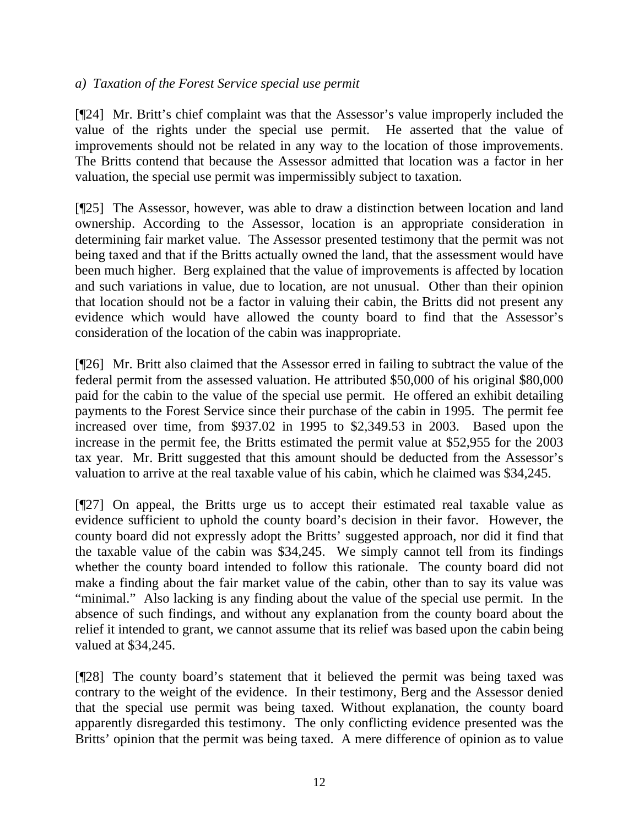## *a) Taxation of the Forest Service special use permit*

[¶24] Mr. Britt's chief complaint was that the Assessor's value improperly included the value of the rights under the special use permit. He asserted that the value of improvements should not be related in any way to the location of those improvements. The Britts contend that because the Assessor admitted that location was a factor in her valuation, the special use permit was impermissibly subject to taxation.

[¶25] The Assessor, however, was able to draw a distinction between location and land ownership. According to the Assessor, location is an appropriate consideration in determining fair market value. The Assessor presented testimony that the permit was not being taxed and that if the Britts actually owned the land, that the assessment would have been much higher. Berg explained that the value of improvements is affected by location and such variations in value, due to location, are not unusual. Other than their opinion that location should not be a factor in valuing their cabin, the Britts did not present any evidence which would have allowed the county board to find that the Assessor's consideration of the location of the cabin was inappropriate.

[¶26] Mr. Britt also claimed that the Assessor erred in failing to subtract the value of the federal permit from the assessed valuation. He attributed \$50,000 of his original \$80,000 paid for the cabin to the value of the special use permit. He offered an exhibit detailing payments to the Forest Service since their purchase of the cabin in 1995. The permit fee increased over time, from \$937.02 in 1995 to \$2,349.53 in 2003. Based upon the increase in the permit fee, the Britts estimated the permit value at \$52,955 for the 2003 tax year. Mr. Britt suggested that this amount should be deducted from the Assessor's valuation to arrive at the real taxable value of his cabin, which he claimed was \$34,245.

[¶27] On appeal, the Britts urge us to accept their estimated real taxable value as evidence sufficient to uphold the county board's decision in their favor. However, the county board did not expressly adopt the Britts' suggested approach, nor did it find that the taxable value of the cabin was \$34,245. We simply cannot tell from its findings whether the county board intended to follow this rationale. The county board did not make a finding about the fair market value of the cabin, other than to say its value was "minimal." Also lacking is any finding about the value of the special use permit. In the absence of such findings, and without any explanation from the county board about the relief it intended to grant, we cannot assume that its relief was based upon the cabin being valued at \$34,245.

[¶28] The county board's statement that it believed the permit was being taxed was contrary to the weight of the evidence. In their testimony, Berg and the Assessor denied that the special use permit was being taxed. Without explanation, the county board apparently disregarded this testimony. The only conflicting evidence presented was the Britts' opinion that the permit was being taxed. A mere difference of opinion as to value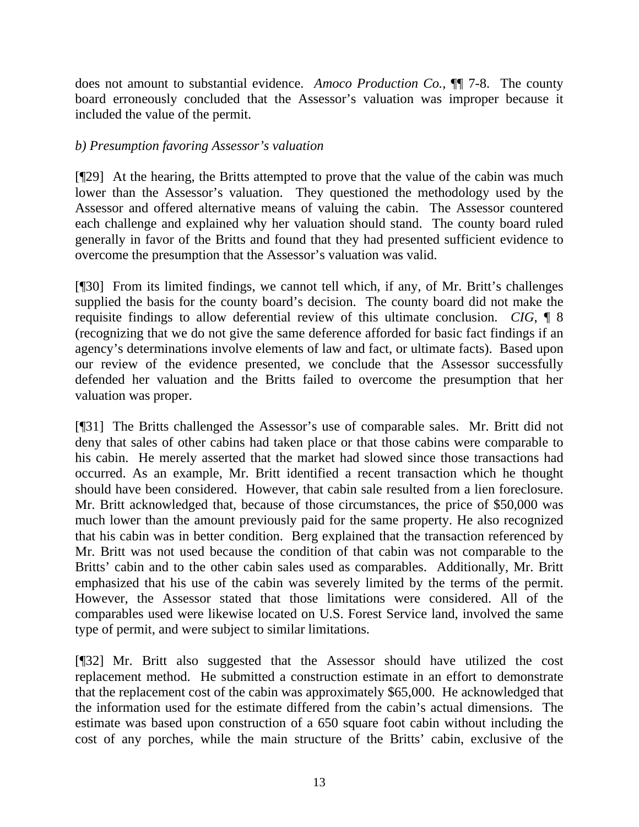does not amount to substantial evidence. *Amoco Production Co.,* ¶¶ 7-8. The county board erroneously concluded that the Assessor's valuation was improper because it included the value of the permit.

# *b) Presumption favoring Assessor's valuation*

[¶29] At the hearing, the Britts attempted to prove that the value of the cabin was much lower than the Assessor's valuation. They questioned the methodology used by the Assessor and offered alternative means of valuing the cabin. The Assessor countered each challenge and explained why her valuation should stand. The county board ruled generally in favor of the Britts and found that they had presented sufficient evidence to overcome the presumption that the Assessor's valuation was valid.

[¶30] From its limited findings, we cannot tell which, if any, of Mr. Britt's challenges supplied the basis for the county board's decision. The county board did not make the requisite findings to allow deferential review of this ultimate conclusion. *CIG*, ¶ 8 (recognizing that we do not give the same deference afforded for basic fact findings if an agency's determinations involve elements of law and fact, or ultimate facts). Based upon our review of the evidence presented, we conclude that the Assessor successfully defended her valuation and the Britts failed to overcome the presumption that her valuation was proper.

[¶31] The Britts challenged the Assessor's use of comparable sales. Mr. Britt did not deny that sales of other cabins had taken place or that those cabins were comparable to his cabin. He merely asserted that the market had slowed since those transactions had occurred. As an example, Mr. Britt identified a recent transaction which he thought should have been considered. However, that cabin sale resulted from a lien foreclosure. Mr. Britt acknowledged that, because of those circumstances, the price of \$50,000 was much lower than the amount previously paid for the same property. He also recognized that his cabin was in better condition. Berg explained that the transaction referenced by Mr. Britt was not used because the condition of that cabin was not comparable to the Britts' cabin and to the other cabin sales used as comparables. Additionally, Mr. Britt emphasized that his use of the cabin was severely limited by the terms of the permit. However, the Assessor stated that those limitations were considered. All of the comparables used were likewise located on U.S. Forest Service land, involved the same type of permit, and were subject to similar limitations.

[¶32] Mr. Britt also suggested that the Assessor should have utilized the cost replacement method. He submitted a construction estimate in an effort to demonstrate that the replacement cost of the cabin was approximately \$65,000. He acknowledged that the information used for the estimate differed from the cabin's actual dimensions. The estimate was based upon construction of a 650 square foot cabin without including the cost of any porches, while the main structure of the Britts' cabin, exclusive of the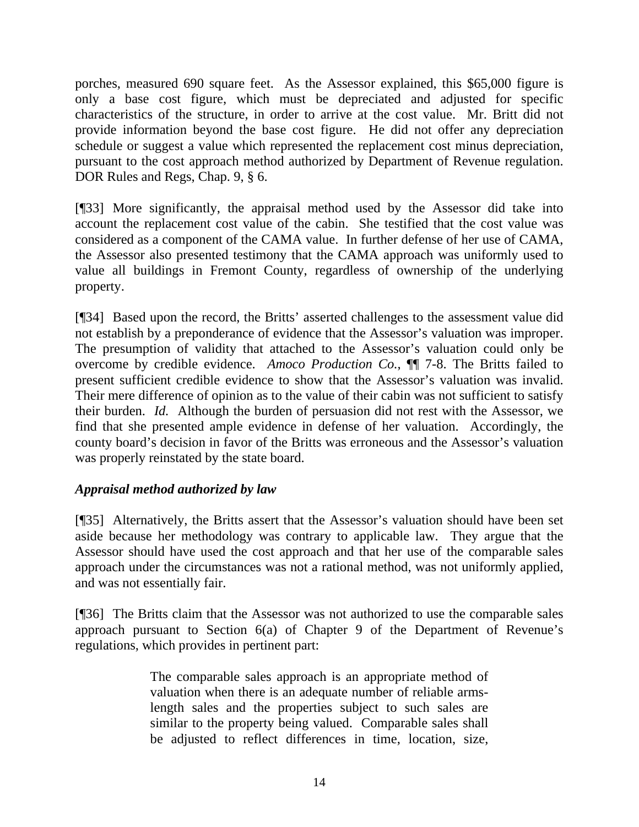porches, measured 690 square feet. As the Assessor explained, this \$65,000 figure is only a base cost figure, which must be depreciated and adjusted for specific characteristics of the structure, in order to arrive at the cost value. Mr. Britt did not provide information beyond the base cost figure. He did not offer any depreciation schedule or suggest a value which represented the replacement cost minus depreciation, pursuant to the cost approach method authorized by Department of Revenue regulation. DOR Rules and Regs, Chap. 9, § 6.

[¶33] More significantly, the appraisal method used by the Assessor did take into account the replacement cost value of the cabin. She testified that the cost value was considered as a component of the CAMA value. In further defense of her use of CAMA, the Assessor also presented testimony that the CAMA approach was uniformly used to value all buildings in Fremont County, regardless of ownership of the underlying property.

[¶34] Based upon the record, the Britts' asserted challenges to the assessment value did not establish by a preponderance of evidence that the Assessor's valuation was improper. The presumption of validity that attached to the Assessor's valuation could only be overcome by credible evidence. *Amoco Production Co.*, ¶¶ 7-8. The Britts failed to present sufficient credible evidence to show that the Assessor's valuation was invalid. Their mere difference of opinion as to the value of their cabin was not sufficient to satisfy their burden. *Id.* Although the burden of persuasion did not rest with the Assessor, we find that she presented ample evidence in defense of her valuation. Accordingly, the county board's decision in favor of the Britts was erroneous and the Assessor's valuation was properly reinstated by the state board.

# *Appraisal method authorized by law*

[¶35] Alternatively, the Britts assert that the Assessor's valuation should have been set aside because her methodology was contrary to applicable law. They argue that the Assessor should have used the cost approach and that her use of the comparable sales approach under the circumstances was not a rational method, was not uniformly applied, and was not essentially fair.

[¶36] The Britts claim that the Assessor was not authorized to use the comparable sales approach pursuant to Section 6(a) of Chapter 9 of the Department of Revenue's regulations, which provides in pertinent part:

> The comparable sales approach is an appropriate method of valuation when there is an adequate number of reliable armslength sales and the properties subject to such sales are similar to the property being valued. Comparable sales shall be adjusted to reflect differences in time, location, size,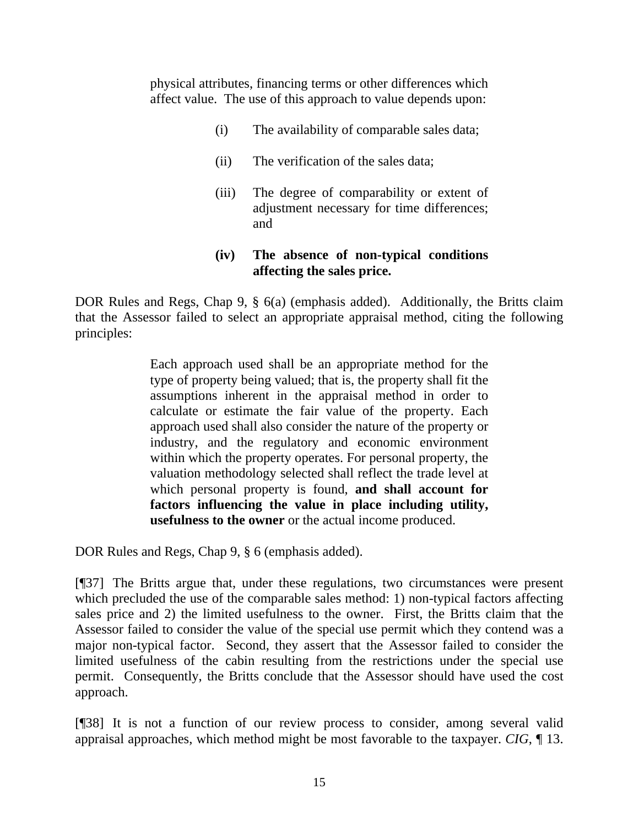physical attributes, financing terms or other differences which affect value. The use of this approach to value depends upon:

- (i) The availability of comparable sales data;
- (ii) The verification of the sales data;
- $(iii)$ adjustm ent necessary for time differences; and The degree of comparability or extent of

#### **(iv) affecti ng the sales price. The absence of non-typical conditions**

DOR Rules and Regs, Chap 9, § 6(a) (emphasis added). Additionally, the Britts claim that the Assessor failed to select an appropriate appraisal method, citing the following principles:

> Each approach used shall be an appropriate method for the type of property being valued; that is, the property shall fit the assumptions inherent in the appraisal method in order to calculate or estimate the fair value of the property. Each approach used shall also consider the nature of the property or industry, and the regulatory and economic environment within which the property operates. For personal property, the valuation methodology selected shall reflect the trade level at which personal property is found, **and shall account for factors influencing the value in place including utility, usefulness to the owner** or the actual income produced.

DOR Rules and Regs, Chap 9, § 6 (emphasis added).

[¶37] The Britts argue that, under these regulations, two circumstances were present which precluded the use of the comparable sales method: 1) non-typical factors affecting sales price and 2) the limited usefulness to the owner. First, the Britts claim that the Assessor failed to consider the value of the special use permit which they contend was a major non-typical factor. Second, they assert that the Assessor failed to consider the limited usefulness of the cabin resulting from the restrictions under the special use permit. Consequently, the Britts conclude that the Assessor should have used the cost approach.

[¶38] It is not a function of our review process to consider, among several valid appraisal approaches, which method might be most favorable to the taxpayer. *CIG*, ¶ 13.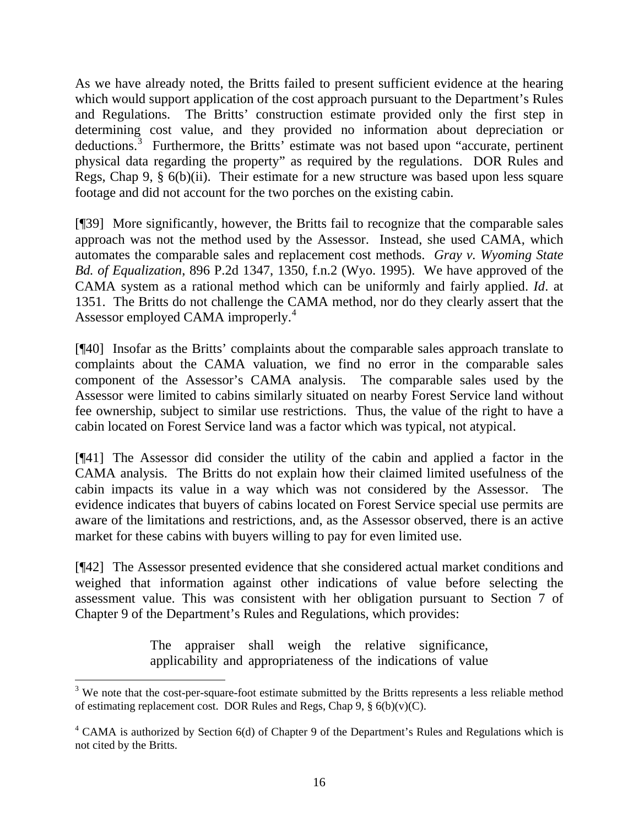As we have already noted, the Britts failed to present sufficient evidence at the hearing which would support application of the cost approach pursuant to the Department's Rules and Regulations. The Britts' construction estimate provided only the first step in determining cost value, and they provided no information about depreciation or deductions.<sup>[3](#page-16-0)</sup> Furthermore, the Britts' estimate was not based upon "accurate, pertinent physical data regarding the property" as required by the regulations. DOR Rules and Regs, Chap 9, § 6(b)(ii). Their estimate for a new structure was based upon less square footage and did not account for the two porches on the existing cabin.

[¶39] More significantly, however, the Britts fail to recognize that the comparable sales approach was not the method used by the Assessor. Instead, she used CAMA, which automates the comparable sales and replacement cost methods. *Gray v. Wyoming State Bd. of Equalization*, 896 P.2d 1347, 1350, f.n.2 (Wyo. 1995). We have approved of the CAMA system as a rational method which can be uniformly and fairly applied. *Id*. at 1351. The Britts do not challenge the CAMA method, nor do they clearly assert that the Assessor employed CAMA improperly.<sup>[4](#page-16-1)</sup>

[¶40] Insofar as the Britts' complaints about the comparable sales approach translate to complaints about the CAMA valuation, we find no error in the comparable sales component of the Assessor's CAMA analysis. The comparable sales used by the Assessor were limited to cabins similarly situated on nearby Forest Service land without fee ownership, subject to similar use restrictions. Thus, the value of the right to have a cabin located on Forest Service land was a factor which was typical, not atypical.

[¶41] The Assessor did consider the utility of the cabin and applied a factor in the CAMA analysis. The Britts do not explain how their claimed limited usefulness of the cabin impacts its value in a way which was not considered by the Assessor. The evidence indicates that buyers of cabins located on Forest Service special use permits are aware of the limitations and restrictions, and, as the Assessor observed, there is an active market for these cabins with buyers willing to pay for even limited use.

[¶42] The Assessor presented evidence that she considered actual market conditions and weighed that information against other indications of value before selecting the assessment value. This was consistent with her obligation pursuant to Section 7 of Chapter 9 of the Department's Rules and Regulations, which provides:

> The appraiser shall weigh the relative significance, applicability and appropriateness of the indications of value

 $\overline{a}$ 

<span id="page-16-0"></span> $3$  We note that the cost-per-square-foot estimate submitted by the Britts represents a less reliable method of estimating replacement cost. DOR Rules and Regs, Chap 9,  $\S$  6(b)(v)(C).

<span id="page-16-1"></span> $4$  CAMA is authorized by Section 6(d) of Chapter 9 of the Department's Rules and Regulations which is not cited by the Britts.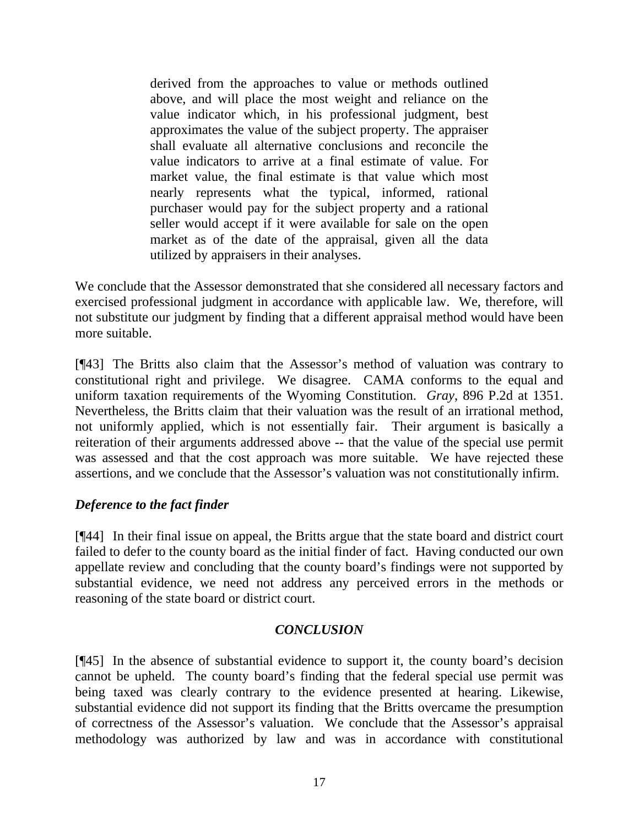derived from the approaches to value or methods outlined above, and will place the most weight and reliance on the value indicator which, in his professional judgment, best approximates the value of the subject property. The appraiser shall evaluate all alternative conclusions and reconcile the value indicators to arrive at a final estimate of value. For market value, the final estimate is that value which most nearly represents what the typical, informed, rational purchaser would pay for the subject property and a rational seller would accept if it were available for sale on the open market as of the date of the appraisal, given all the data utilized by appraisers in their analyses.

We conclude that the Assessor demonstrated that she considered all necessary factors and exercised professional judgment in accordance with applicable law. We, therefore, will not substitute our judgment by finding that a different appraisal method would have been more suitable.

[¶43] The Britts also claim that the Assessor's method of valuation was contrary to constitutional right and privilege. We disagree. CAMA conforms to the equal and uniform taxation requirements of the Wyoming Constitution. *Gray*, 896 P.2d at 1351. Nevertheless, the Britts claim that their valuation was the result of an irrational method, not uniformly applied, which is not essentially fair. Their argument is basically a reiteration of their arguments addressed above -- that the value of the special use permit was assessed and that the cost approach was more suitable. We have rejected these assertions, and we conclude that the Assessor's valuation was not constitutionally infirm.

# *Deference to the fact finder*

[¶44] In their final issue on appeal, the Britts argue that the state board and district court failed to defer to the county board as the initial finder of fact. Having conducted our own appellate review and concluding that the county board's findings were not supported by substantial evidence, we need not address any perceived errors in the methods or reasoning of the state board or district court.

# *USION CONCL*

[¶45] In the absence of substantial evidence to support it, the county board's decision annot be upheld. The county board's finding that the federal special use permit was c being taxed was clearly contrary to the evidence presented at hearing. Likewise, substantial evidence did not support its finding that the Britts overcame the presumption of correctness of the Assessor's valuation. We conclude that the Assessor's appraisal methodology was authorized by law and was in accordance with constitutional